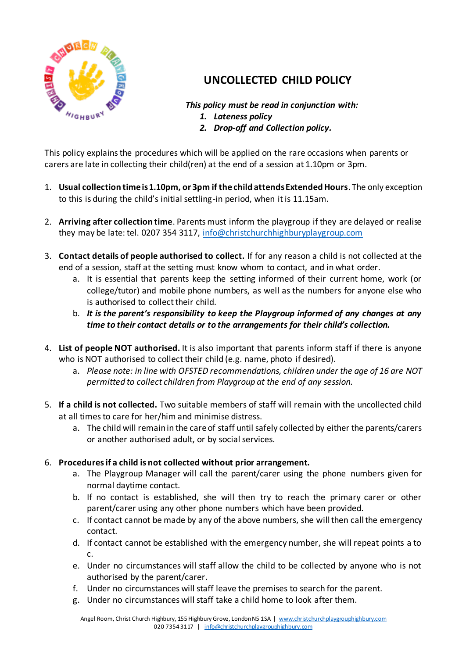

## **UNCOLLECTED CHILD POLICY**

## *This policy must be read in conjunction with:*

- *1. Lateness policy*
- *2. Drop-off and Collection policy.*

This policy explains the procedures which will be applied on the rare occasions when parents or carers are late in collecting their child(ren) at the end of a session at 1.10pm or 3pm.

- 1. **Usual collection time is 1.10pm, or 3pm if the child attends Extended Hours**. The only exception to this is during the child's initial settling-in period, when it is 11.15am.
- 2. **Arriving after collection time**. Parents must inform the playgroup if they are delayed or realise they may be late: tel. 0207 354 3117, info@christchurchhighburyplaygroup.com
- 3. **Contact details of people authorised to collect.** If for any reason a child is not collected at the end of a session, staff at the setting must know whom to contact, and in what order.
	- a. It is essential that parents keep the setting informed of their current home, work (or college/tutor) and mobile phone numbers, as well as the numbers for anyone else who is authorised to collect their child.
	- b. *It is the parent's responsibility to keep the Playgroup informed of any changes at any time to their contact details or to the arrangements for their child's collection.*
- 4. **List of people NOT authorised.** It is also important that parents inform staff if there is anyone who is NOT authorised to collect their child (e.g. name, photo if desired).
	- a. *Please note: in line with OFSTED recommendations, children under the age of 16 are NOT permitted to collect children from Playgroup at the end of any session.*
- 5. **If a child is not collected.** Two suitable members of staff will remain with the uncollected child at all times to care for her/him and minimise distress.
	- a. The child will remain in the care of staff until safely collected by either the parents/carers or another authorised adult, or by social services.

## 6. **Procedures if a child is not collected without prior arrangement.**

- a. The Playgroup Manager will call the parent/carer using the phone numbers given for normal daytime contact.
- b. If no contact is established, she will then try to reach the primary carer or other parent/carer using any other phone numbers which have been provided.
- c. If contact cannot be made by any of the above numbers, she will then call the emergency contact.
- d. If contact cannot be established with the emergency number, she will repeat points a to c.
- e. Under no circumstances will staff allow the child to be collected by anyone who is not authorised by the parent/carer.
- f. Under no circumstances will staff leave the premises to search for the parent.
- g. Under no circumstances will staff take a child home to look after them.